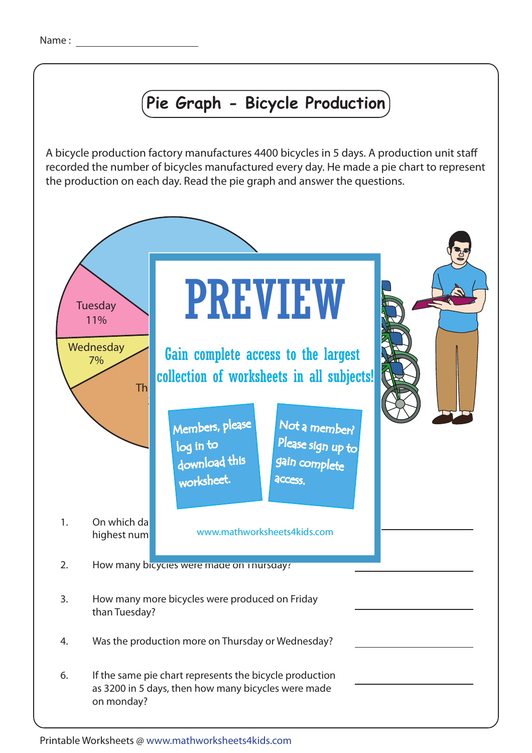## **Pie Graph - Bicycle Production**

A bicycle production factory manufactures 4400 bicycles in 5 days. A production unit staff recorded the number of bicycles manufactured every day. He made a pie chart to represent the production on each day. Read the pie graph and answer the questions.